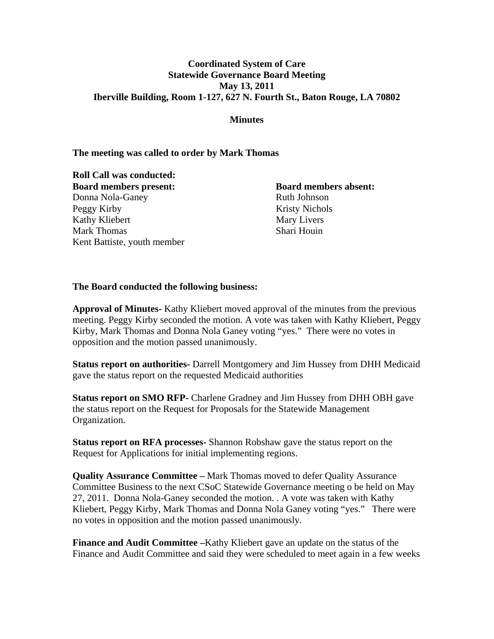## **Coordinated System of Care Statewide Governance Board Meeting May 13, 2011 Iberville Building, Room 1-127, 627 N. Fourth St., Baton Rouge, LA 70802**

## **Minutes**

## **The meeting was called to order by Mark Thomas**

**Roll Call was conducted: Board members present: Board members absent:** Donna Nola-Ganey Ruth Johnson Peggy Kirby Kristy Nichols Kathy Kliebert Mary Livers Mark Thomas Shari Houin Kent Battiste, youth member

## **The Board conducted the following business:**

**Approval of Minutes-** Kathy Kliebert moved approval of the minutes from the previous meeting. Peggy Kirby seconded the motion. A vote was taken with Kathy Kliebert, Peggy Kirby, Mark Thomas and Donna Nola Ganey voting "yes." There were no votes in opposition and the motion passed unanimously.

**Status report on authorities-** Darrell Montgomery and Jim Hussey from DHH Medicaid gave the status report on the requested Medicaid authorities

**Status report on SMO RFP-** Charlene Gradney and Jim Hussey from DHH OBH gave the status report on the Request for Proposals for the Statewide Management Organization.

**Status report on RFA processes-** Shannon Robshaw gave the status report on the Request for Applications for initial implementing regions.

**Quality Assurance Committee –** Mark Thomas moved to defer Quality Assurance Committee Business to the next CSoC Statewide Governance meeting o be held on May 27, 2011. Donna Nola-Ganey seconded the motion. . A vote was taken with Kathy Kliebert, Peggy Kirby, Mark Thomas and Donna Nola Ganey voting "yes." There were no votes in opposition and the motion passed unanimously.

**Finance and Audit Committee –**Kathy Kliebert gave an update on the status of the Finance and Audit Committee and said they were scheduled to meet again in a few weeks